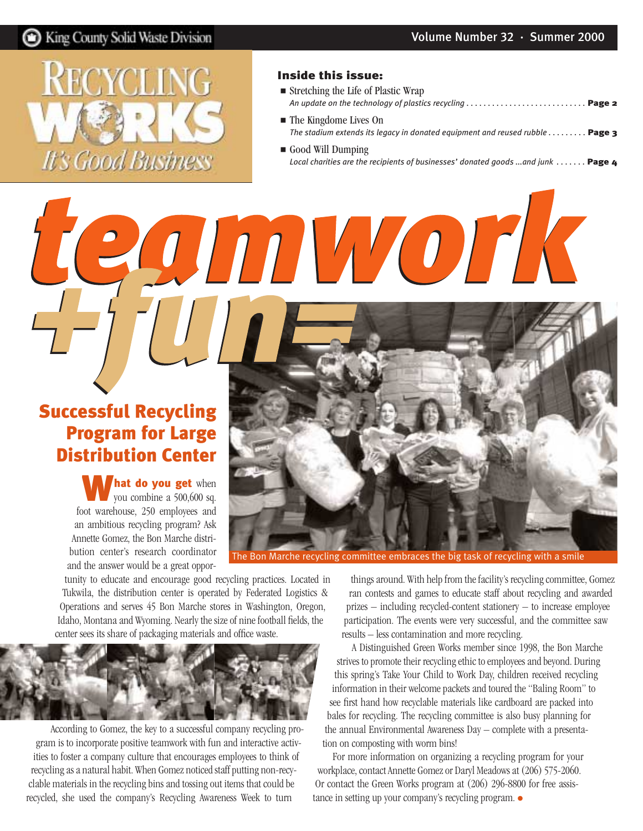

### Inside this issue:

AUDI VOITK

- Stretching the Life of Plastic Wrap *[An update on the technology of plastics recycling . . . . . . . . . . . . . . . . . . . . . . . . . . . .](#page-1-0)* Page 2
- The Kingdome Lives On [The stadium extends its legacy in donated equipment and reused rubble . . . . . . . . .](#page-2-0) **Page 3**
- Good Will Dumping *Local charities are the recipients of businesses' donated goods ...and junk ......* Page 4

### Successful Recycling Program for Large Distribution Center

**hat do you get** when you combine a 500,600 sq. foot warehouse, 250 employees and an ambitious recycling program? Ask Annette Gomez, the Bon Marche distribution center's research coordinator and the answer would be a great oppor-



The Bon Marche recycling committee embraces the big task of recycling with a smile

tunity to educate and encourage good recycling practices. Located in Tukwila, the distribution center is operated by Federated Logistics & Operations and serves 45 Bon Marche stores in Washington, Oregon, Idaho, Montana and Wyoming. Nearly the size of nine football fields, the center sees its share of packaging materials and office waste.



According to Gomez, the key to a successful company recycling program is to incorporate positive teamwork with fun and interactive activities to foster a company culture that encourages employees to think of recycling as a natural habit. When Gomez noticed staff putting non-recyclable materials in the recycling bins and tossing out items that could be recycled, she used the company's Recycling Awareness Week to turn

things around. With help from the facility's recycling committee, Gomez ran contests and games to educate staff about recycling and awarded prizes – including recycled-content stationery – to increase employee participation. The events were very successful, and the committee saw results – less contamination and more recycling.

A Distinguished Green Works member since 1998, the Bon Marche strives to promote their recycling ethic to employees and beyond. During this spring's Take Your Child to Work Day, children received recycling information in their welcome packets and toured the "Baling Room" to see first hand how recyclable materials like cardboard are packed into bales for recycling. The recycling committee is also busy planning for the annual Environmental Awareness Day – complete with a presentation on composting with worm bins!

For more information on organizing a recycling program for your workplace, contact Annette Gomez or Daryl Meadows at (206) 575-2060. Or contact the Green Works program at (206) 296-8800 for free assistance in setting up your company's recycling program. ●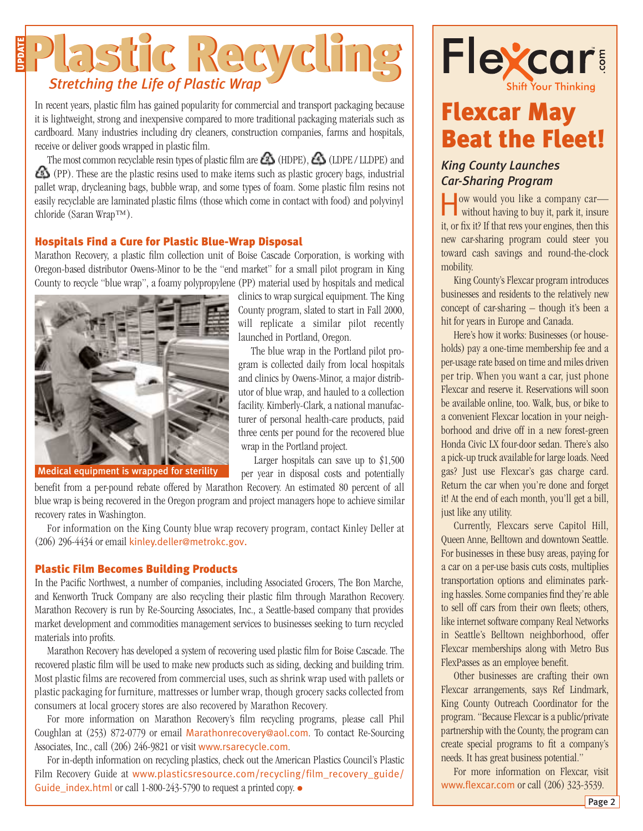### <span id="page-1-0"></span>Plastic Recycling UPDATE

In recent years, plastic film has gained popularity for commercial and transport packaging because it is lightweight, strong and inexpensive compared to more traditional packaging materials such as cardboard. Many industries including dry cleaners, construction companies, farms and hospitals, receive or deliver goods wrapped in plastic film.

The most common recyclable resin types of plastic film are  $\bigotimes$  (HDPE),  $\bigotimes$  (LDPE / LLDPE) and (PP). These are the plastic resins used to make items such as plastic grocery bags, industrial pallet wrap, drycleaning bags, bubble wrap, and some types of foam. Some plastic film resins not easily recyclable are laminated plastic films (those which come in contact with food) and polyvinyl chloride (Saran Wrap™).

### Hospitals Find a Cure for Plastic Blue-Wrap Disposal

Marathon Recovery, a plastic film collection unit of Boise Cascade Corporation, is working with Oregon-based distributor Owens-Minor to be the "end market" for a small pilot program in King County to recycle "blue wrap", a foamy polypropylene (PP) material used by hospitals and medical



Medical equipment is wrapped for sterility

clinics to wrap surgical equipment. The King County program, slated to start in Fall 2000, will replicate a similar pilot recently launched in Portland, Oregon.

The blue wrap in the Portland pilot program is collected daily from local hospitals and clinics by Owens-Minor, a major distributor of blue wrap, and hauled to a collection facility. Kimberly-Clark, a national manufacturer of personal health-care products, paid three cents per pound for the recovered blue wrap in the Portland project.

Larger hospitals can save up to \$1,500 per year in disposal costs and potentially

benefit from a per-pound rebate offered by Marathon Recovery. An estimated 80 percent of all blue wrap is being recovered in the Oregon program and project managers hope to achieve similar recovery rates in Washington.

For information on the King County blue wrap recovery program, contact Kinley Deller at (206) 296-4434 or email [kinley.deller@metrokc.gov.](mailto:kinley.deller@metrokc.gov)

### Plastic Film Becomes Building Products

In the Pacific Northwest, a number of companies, including Associated Grocers, The Bon Marche, and Kenworth Truck Company are also recycling their plastic film through Marathon Recovery. Marathon Recovery is run by Re-Sourcing Associates, Inc., a Seattle-based company that provides market development and commodities management services to businesses seeking to turn recycled materials into profits.

Marathon Recovery has developed a system of recovering used plastic film for Boise Cascade. The recovered plastic film will be used to make new products such as siding, decking and building trim. Most plastic films are recovered from commercial uses, such as shrink wrap used with pallets or plastic packaging for furniture, mattresses or lumber wrap, though grocery sacks collected from consumers at local grocery stores are also recovered by Marathon Recovery.

For more information on Marathon Recovery's film recycling programs, please call Phil Coughlan at (253) 872-0779 or email [Marathonrecovery@aol.com](mailto:Marathonrecovery@aol.com). To contact Re-Sourcing Associates, Inc., call (206) 246-9821 or visit [www.rsarecycle.com](http://www.rsarecycle.com).

For in-depth information on recycling plastics, check out the American Plastics Council's Plastic Film Recovery Guide at [www.plasticsresource.com/recycling/film\\_recovery\\_guide/](http://www.plasticsresource.com/recycling/film_recovery_guide/Guide_index.html) [Guide\\_index.html](http://www.plasticsresource.com/recycling/film_recovery_guide/Guide_index.html) or call 1-800-243-5790 to request a printed copy. ●



### Flexcar May Beat the Fleet!

### *King County Launches Car-Sharing Program*

How would you like a company car— without having to buy it, park it, insure it, or fix it? If that revs your engines, then this new car-sharing program could steer you toward cash savings and round-the-clock mobility.

King County's Flexcar program introduces businesses and residents to the relatively new concept of car-sharing – though it's been a hit for years in Europe and Canada.

Here's how it works: Businesses (or households) pay a one-time membership fee and a per-usage rate based on time and miles driven per trip. When you want a car, just phone Flexcar and reserve it. Reservations will soon be available online, too. Walk, bus, or bike to a convenient Flexcar location in your neighborhood and drive off in a new forest-green Honda Civic LX four-door sedan. There's also a pick-up truck available for large loads. Need gas? Just use Flexcar's gas charge card. Return the car when you're done and forget it! At the end of each month, you'll get a bill, just like any utility.

Currently, Flexcars serve Capitol Hill, Queen Anne, Belltown and downtown Seattle. For businesses in these busy areas, paying for a car on a per-use basis cuts costs, multiplies transportation options and eliminates parking hassles. Some companies find they're able to sell off cars from their own fleets; others, like internet software company Real Networks in Seattle's Belltown neighborhood, offer Flexcar memberships along with Metro Bus FlexPasses as an employee benefit.

Other businesses are crafting their own Flexcar arrangements, says Ref Lindmark, King County Outreach Coordinator for the program. "Because Flexcar is a public/private partnership with the County, the program can create special programs to fit a company's needs. It has great business potential."

For more information on Flexcar, visit [www.flexcar.com](http://www.flexcar.com) or call (206) 323-3539.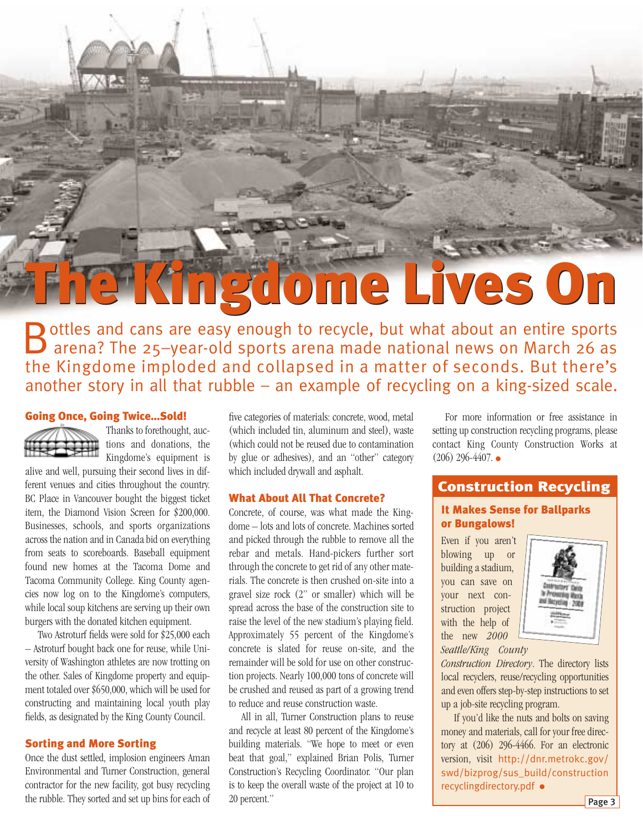# <span id="page-2-0"></span>The Kingdome Lives On The Kingdome Lives On

Bottles and cans are easy enough to recycle, but what about an entire sports<br>
arena? The 25-year-old sports arena made national news on March 26 as the Kingdome imploded and collapsed in a matter of seconds. But there's another story in all that rubble – an example of recycling on a king-sized scale.

### Going Once, Going Twice…Sold!



Thanks to forethought, auctions and donations, the Kingdome's equipment is

alive and well, pursuing their second lives in different venues and cities throughout the country. BC Place in Vancouver bought the biggest ticket item, the Diamond Vision Screen for \$200,000. Businesses, schools, and sports organizations across the nation and in Canada bid on everything from seats to scoreboards. Baseball equipment found new homes at the Tacoma Dome and Tacoma Community College. King County agencies now log on to the Kingdome's computers, while local soup kitchens are serving up their own burgers with the donated kitchen equipment.

Two Astroturf fields were sold for \$25,000 each – Astroturf bought back one for reuse, while University of Washington athletes are now trotting on the other. Sales of Kingdome property and equipment totaled over \$650,000, which will be used for constructing and maintaining local youth play fields, as designated by the King County Council.

### Sorting and More Sorting

Once the dust settled, implosion engineers Aman Environmental and Turner Construction, general contractor for the new facility, got busy recycling the rubble. They sorted and set up bins for each of

five categories of materials: concrete, wood, metal (which included tin, aluminum and steel), waste (which could not be reused due to contamination by glue or adhesives), and an "other" category which included drywall and asphalt.

#### What About All That Concrete?

Concrete, of course, was what made the Kingdome – lots and lots of concrete. Machines sorted and picked through the rubble to remove all the rebar and metals. Hand-pickers further sort through the concrete to get rid of any other materials. The concrete is then crushed on-site into a gravel size rock (2" or smaller) which will be spread across the base of the construction site to raise the level of the new stadium's playing field. Approximately 55 percent of the Kingdome's concrete is slated for reuse on-site, and the remainder will be sold for use on other construction projects. Nearly 100,000 tons of concrete will be crushed and reused as part of a growing trend to reduce and reuse construction waste.

All in all, Turner Construction plans to reuse and recycle at least 80 percent of the Kingdome's building materials. "We hope to meet or even beat that goal," explained Brian Polis, Turner Construction's Recycling Coordinator. "Our plan is to keep the overall waste of the project at 10 to 20 percent."

For more information or free assistance in setting up construction recycling programs, please contact King County Construction Works at  $(206)$  296-4407.  $\bullet$ 

### Construction Recycling

### It Makes Sense for Ballparks or Bungalows!

Even if you aren't blowing up or building a stadium, you can save on your next construction project with the help of the new *2000 Seattle/King County*



*Construction Directory*. The directory lists local recyclers, reuse/recycling opportunities and even offers step-by-step instructions to set up a job-site recycling program.

If you'd like the nuts and bolts on saving money and materials, call for your free directory at (206) 296-4466. For an electronic version, visit [http://dnr.metrokc.gov/](http://dnr.metrokc.gov/swd/bizprog/sus_build/constructionrecyclingdirectory.pdf) [swd/bizprog/sus\\_build/construction](http://dnr.metrokc.gov/swd/bizprog/sus_build/constructionrecyclingdirectory.pdf) [recyclingdirectory.pdf](http://dnr.metrokc.gov/swd/bizprog/sus_build/constructionrecyclingdirectory.pdf) ●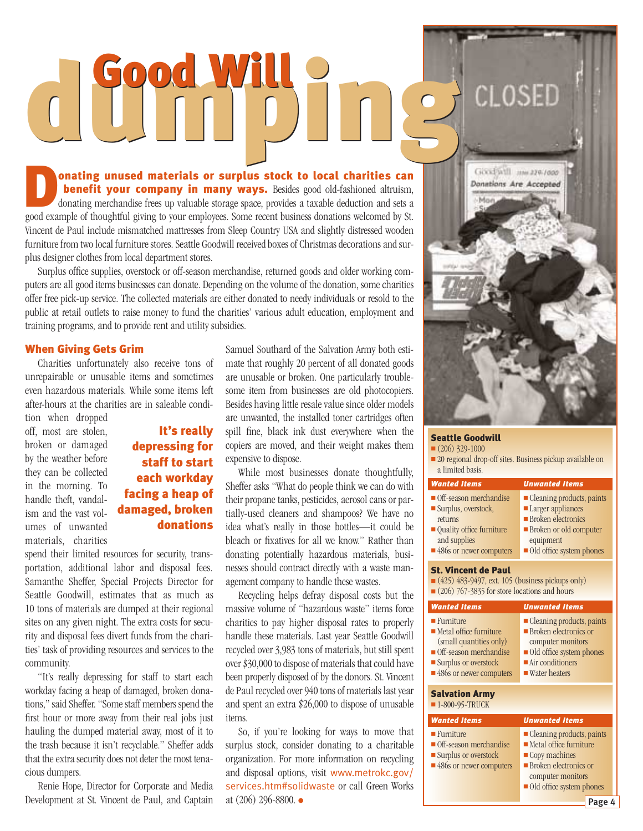# <span id="page-3-0"></span>dumping **CLOSED**

**Donating unused materials or surplus stock to local charities can benefit your company in many ways.** Besides good old-fashioned altruism, donating merchandise frees up valuable storage space, provides a taxable deduction benefit your company in many ways. Besides good old-fashioned altruism, donating merchandise frees up valuable storage space, provides a taxable deduction and sets a Vincent de Paul include mismatched mattresses from Sleep Country USA and slightly distressed wooden furniture from two local furniture stores. Seattle Goodwill received boxes of Christmas decorations and surplus designer clothes from local department stores.

Surplus office supplies, overstock or off-season merchandise, returned goods and older working computers are all good items businesses can donate. Depending on the volume of the donation, some charities offer free pick-up service. The collected materials are either donated to needy individuals or resold to the public at retail outlets to raise money to fund the charities' various adult education, employment and training programs, and to provide rent and utility subsidies.

### When Giving Gets Grim

Charities unfortunately also receive tons of unrepairable or unusable items and sometimes even hazardous materials. While some items left after-hours at the charities are in saleable condi-

tion when dropped off, most are stolen, broken or damaged by the weather before they can be collected in the morning. To handle theft, vandalism and the vast volumes of unwanted materials, charities

### It's really depressing for staff to start each workday facing a heap of damaged, broken donations

spend their limited resources for security, transportation, additional labor and disposal fees. Samanthe Sheffer, Special Projects Director for Seattle Goodwill, estimates that as much as 10 tons of materials are dumped at their regional sites on any given night. The extra costs for security and disposal fees divert funds from the charities' task of providing resources and services to the community.

"It's really depressing for staff to start each workday facing a heap of damaged, broken donations," said Sheffer. "Some staff members spend the first hour or more away from their real jobs just hauling the dumped material away, most of it to the trash because it isn't recyclable." Sheffer adds that the extra security does not deter the most tenacious dumpers.

Renie Hope, Director for Corporate and Media Development at St. Vincent de Paul, and Captain Samuel Southard of the Salvation Army both estimate that roughly 20 percent of all donated goods are unusable or broken. One particularly troublesome item from businesses are old photocopiers. Besides having little resale value since older models are unwanted, the installed toner cartridges often spill fine, black ink dust everywhere when the copiers are moved, and their weight makes them expensive to dispose.

While most businesses donate thoughtfully, Sheffer asks "What do people think we can do with their propane tanks, pesticides, aerosol cans or partially-used cleaners and shampoos? We have no idea what's really in those bottles—it could be bleach or fixatives for all we know." Rather than donating potentially hazardous materials, businesses should contract directly with a waste management company to handle these wastes.

Recycling helps defray disposal costs but the massive volume of "hazardous waste" items force charities to pay higher disposal rates to properly handle these materials. Last year Seattle Goodwill recycled over 3,983 tons of materials, but still spent over \$30,000 to dispose of materials that could have been properly disposed of by the donors. St. Vincent de Paul recycled over 940 tons of materials last year and spent an extra \$26,000 to dispose of unusable items.

So, if you're looking for ways to move that surplus stock, consider donating to a charitable organization. For more information on recycling and disposal options, visit [www.metrokc.gov/](http://www.metrokc.gov/services.htm#solidwaste) [services.htm#solidwaste](http://www.metrokc.gov/services.htm#solidwaste) or call Green Works at (206) 296-8800. ●

| $-Man$<br>$-5u$ |                     |                                                          |
|-----------------|---------------------|----------------------------------------------------------|
|                 |                     |                                                          |
|                 |                     |                                                          |
|                 |                     |                                                          |
|                 |                     |                                                          |
|                 |                     |                                                          |
|                 | <b>COLL SERVICE</b> | Givid will now 229-1000<br><b>Donations Are Accepted</b> |

#### Seattle Goodwill

 $(206)$  329-1000

| • 20 regional drop-off sites. Business pickup available on |  |
|------------------------------------------------------------|--|
| a limited basis.                                           |  |

| <b>Wanted Items</b>                                                                                                                                                           | <b>Unwanted Items</b>                                                                                                                                                                       |  |
|-------------------------------------------------------------------------------------------------------------------------------------------------------------------------------|---------------------------------------------------------------------------------------------------------------------------------------------------------------------------------------------|--|
| $\blacksquare$ Off-season merchandise<br>Surplus, overstock,<br>returns<br>• Quality office furniture<br>and supplies<br>■ 486s or newer computers                            | $\blacksquare$ Cleaning products, paints<br><b>Larger</b> appliances<br>$\blacksquare$ Broken electronics<br>Broken or old computer<br>equipment<br>Old office system phones                |  |
| <b>St. Vincent de Paul</b><br>$(425)$ 483-9497, ext. 105 (business pickups only)<br>$(206)$ 767-3835 for store locations and hours                                            |                                                                                                                                                                                             |  |
| <b>Wanted Items</b>                                                                                                                                                           | <b>Unwanted Items</b>                                                                                                                                                                       |  |
| $\blacksquare$ Furniture<br>$\blacksquare$ Metal office furniture<br>(small quantities only)<br>• Off-season merchandise<br>Surplus or overstock<br>■ 486s or newer computers | $\blacksquare$ Cleaning products, paints<br>$\blacksquare$ Broken electronics or<br>computer monitors<br>Old office system phones<br>$\blacksquare$ Air conditioners<br>■ Water heaters     |  |
| <b>Salvation Army</b><br>■ 1-800-95-TRUCK                                                                                                                                     |                                                                                                                                                                                             |  |
| <b>Wanted Items</b>                                                                                                                                                           | <b>Unwanted Items</b>                                                                                                                                                                       |  |
| $\blacksquare$ Furniture<br>• Off-season merchandise<br>Surplus or overstock<br>■ 486s or newer computers                                                                     | $\blacksquare$ Cleaning products, paints<br>$\blacksquare$ Metal office furniture<br>Copy machines<br>$\blacksquare$ Broken electronics or<br>computer monitors<br>Old office system phones |  |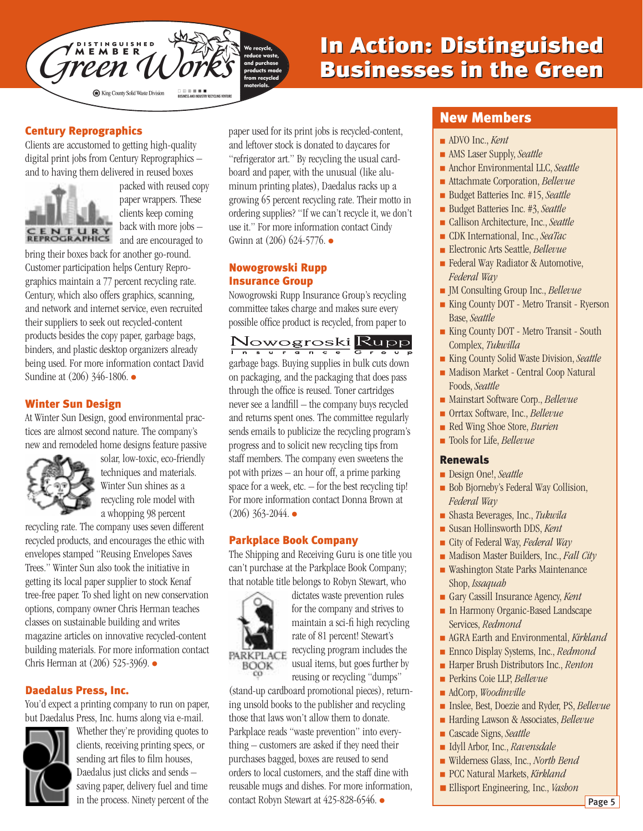

### In Action: Distinguished In Action: Distinguished Businesses in the Green Businesses in the Green

### Century Reprographics

Clients are accustomed to getting high-quality digital print jobs from Century Reprographics – and to having them delivered in reused boxes



packed with reused copy paper wrappers. These clients keep coming back with more jobs – and are encouraged to

bring their boxes back for another go-round. Customer participation helps Century Reprographics maintain a 77 percent recycling rate. Century, which also offers graphics, scanning, and network and internet service, even recruited their suppliers to seek out recycled-content products besides the copy paper, garbage bags, binders, and plastic desktop organizers already being used. For more information contact David Sundine at (206) 346-1806. ●

### Winter Sun Design

At Winter Sun Design, good environmental practices are almost second nature. The company's new and remodeled home designs feature passive



solar, low-toxic, eco-friendly techniques and materials. Winter Sun shines as a recycling role model with a whopping 98 percent

recycling rate. The company uses seven different recycled products, and encourages the ethic with envelopes stamped "Reusing Envelopes Saves Trees." Winter Sun also took the initiative in getting its local paper supplier to stock Kenaf tree-free paper. To shed light on new conservation options, company owner Chris Herman teaches classes on sustainable building and writes magazine articles on innovative recycled-content building materials. For more information contact Chris Herman at (206) 525-3969. ●

### Daedalus Press, Inc.

You'd expect a printing company to run on paper, but Daedalus Press, Inc. hums along via e-mail.



Whether they're providing quotes to clients, receiving printing specs, or sending art files to film houses, Daedalus just clicks and sends – saving paper, delivery fuel and time in the process. Ninety percent of the paper used for its print jobs is recycled-content, and leftover stock is donated to daycares for "refrigerator art." By recycling the usual cardboard and paper, with the unusual (like aluminum printing plates), Daedalus racks up a growing 65 percent recycling rate. Their motto in ordering supplies? "If we can't recycle it, we don't use it." For more information contact Cindy Gwinn at (206) 624-5776. ●

### Nowogrowski Rupp Insurance Group

Nowogrowski Rupp Insurance Group's recycling committee takes charge and makes sure every possible office product is recycled, from paper to

Nowogroski Rupp

garbage bags. Buying supplies in bulk cuts down on packaging, and the packaging that does pass through the office is reused. Toner cartridges never see a landfill – the company buys recycled and returns spent ones. The committee regularly sends emails to publicize the recycling program's progress and to solicit new recycling tips from staff members. The company even sweetens the pot with prizes – an hour off, a prime parking space for a week,  $etc. -$  for the best recycling tip! For more information contact Donna Brown at  $(206)$  363-2044. ●

### Parkplace Book Company

The Shipping and Receiving Guru is one title you can't purchase at the Parkplace Book Company; that notable title belongs to Robyn Stewart, who



dictates waste prevention rules for the company and strives to maintain a sci-fi high recycling rate of 81 percent! Stewart's recycling program includes the usual items, but goes further by

reusing or recycling "dumps"

(stand-up cardboard promotional pieces), returning unsold books to the publisher and recycling those that laws won't allow them to donate. Parkplace reads "waste prevention" into everything – customers are asked if they need their purchases bagged, boxes are reused to send orders to local customers, and the staff dine with reusable mugs and dishes. For more information, contact Robyn Stewart at 425-828-6546. ●

### New Members

- ADVO Inc., *Kent*
- AMS Laser Supply, *Seattle*
- Anchor Environmental LLC, *Seattle*
- Attachmate Corporation, *Bellevue*
- Budget Batteries Inc. #15, *Seattle*
- Budget Batteries Inc. #3, *Seattle*
- Callison Architecture, Inc., *Seattle*
- CDK International, Inc., *SeaTac*
- Electronic Arts Seattle, *Bellevue*
- Federal Way Radiator & Automotive, *Federal Way*
- JM Consulting Group Inc., *Bellevue*
- King County DOT Metro Transit Ryerson Base, *Seattle*
- King County DOT Metro Transit South Complex, *Tukwilla*
- King County Solid Waste Division, *Seattle*
- Madison Market Central Coop Natural Foods, *Seattle*
- Mainstart Software Corp., *Bellevue*
- Orrtax Software, Inc., *Bellevue*
- Red Wing Shoe Store, *Burien*
- Tools for Life, *Bellevue*

### Renewals

- Design One!, *Seattle*
- Bob Bjorneby's Federal Way Collision, *Federal Way*
- Shasta Beverages, Inc., *Tukwila*
- Susan Hollinsworth DDS, *Kent*
- City of Federal Way, *Federal Way*
- Madison Master Builders, Inc., *Fall City*
- Washington State Parks Maintenance Shop, *Issaquah*
- Gary Cassill Insurance Agency, *Kent*
- In Harmony Organic-Based Landscape Services, *Redmond*
- AGRA Earth and Environmental, *Kirkland*
- Ennco Display Systems, Inc., *Redmond*
- Harper Brush Distributors Inc., *Renton*
- Perkins Coie LLP, *Bellevue*
- AdCorp, *Woodinville*
- Inslee, Best, Doezie and Ryder, PS, *Bellevue*
- Harding Lawson & Associates, *Bellevue*
- Cascade Signs, *Seattle*
- Idyll Arbor, Inc., *Ravensdale*
- Wilderness Glass, Inc., *North Bend*
- PCC Natural Markets, *Kirkland*
- Ellisport Engineering, Inc., *Vashon*

Page 5